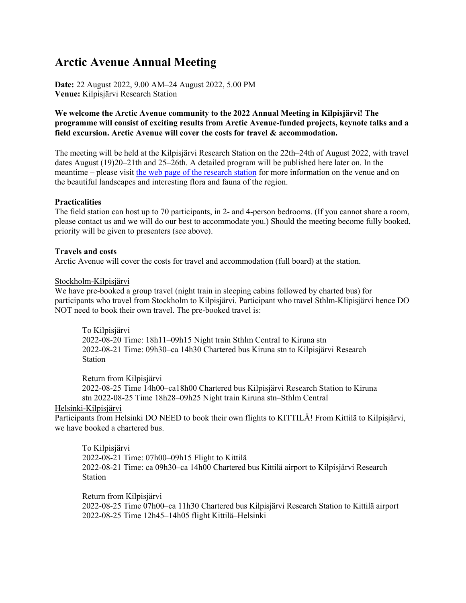# **Arctic Avenue Annual Meeting**

**Date:** 22 August 2022, 9.00 AM–24 August 2022, 5.00 PM **Venue:** Kilpisjärvi Research Station

## **We welcome the Arctic Avenue community to the 2022 Annual Meeting in Kilpisjärvi! The programme will consist of exciting results from Arctic Avenue-funded projects, keynote talks and a field excursion. Arctic Avenue will cover the costs for travel & accommodation.**

The meeting will be held at the Kilpisjärvi Research Station on the 22th–24th of August 2022, with travel dates August (19)20–21th and 25–26th. A detailed program will be published here later on. In the meantime – please visit the web [page of the research](https://www2.helsinki.fi/en/research-stations/kilpisjarvi-biological-station) station for more information on the venue and on the beautiful landscapes and interesting flora and fauna of the region.

#### **Practicalities**

The field station can host up to 70 participants, in 2- and 4-person bedrooms. (If you cannot share a room, please contact us and we will do our best to accommodate you.) Should the meeting become fully booked, priority will be given to presenters (see above).

#### **Travels and costs**

Arctic Avenue will cover the costs for travel and accommodation (full board) at the station.

#### Stockholm-Kilpisjärvi

We have pre-booked a group travel (night train in sleeping cabins followed by charted bus) for participants who travel from Stockholm to Kilpisjärvi. Participant who travel Sthlm-Klipisjärvi hence DO NOT need to book their own travel. The pre-booked travel is:

To Kilpisjärvi 2022-08-20 Time: 18h11–09h15 Night train Sthlm Central to Kiruna stn 2022-08-21 Time: 09h30–ca 14h30 Chartered bus Kiruna stn to Kilpisjärvi Research Station

Return from Kilpisjärvi

2022-08-25 Time 14h00–ca18h00 Chartered bus Kilpisjärvi Research Station to Kiruna stn 2022-08-25 Time 18h28–09h25 Night train Kiruna stn–Sthlm Central

## Helsinki-Kilpisjärvi

Participants from Helsinki DO NEED to book their own flights to KITTILÄ! From Kittilä to Kilpisjärvi, we have booked a chartered bus.

To Kilpisjärvi 2022-08-21 Time: 07h00–09h15 Flight to Kittilä 2022-08-21 Time: ca 09h30–ca 14h00 Chartered bus Kittilä airport to Kilpisjärvi Research Station

Return from Kilpisjärvi 2022-08-25 Time 07h00–ca 11h30 Chartered bus Kilpisjärvi Research Station to Kittilä airport 2022-08-25 Time 12h45–14h05 flight Kittilä–Helsinki